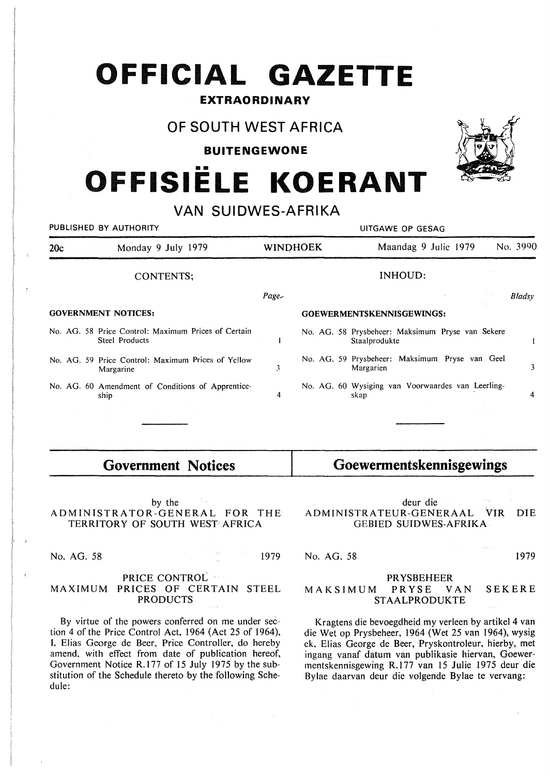# **OFFICIAL GAZETTE**

## **EXTRAORDINARY**

## **OF SOUTH WEST AFRICA**

#### **BUITENGEWONE**

# •• **OFFISIELE KOERANT**

## **VAN SUIDWES-AFRIKA**

| PUBLISHED BY AUTHORITY     |                                                                       | UITGAWE OP GESAG          |  |                                                                   |        |  |
|----------------------------|-----------------------------------------------------------------------|---------------------------|--|-------------------------------------------------------------------|--------|--|
| Monday 9 July 1979<br>20c  |                                                                       | <b>WINDHOEK</b>           |  | No. 3990<br>Maandag 9 Julie 1979                                  |        |  |
|                            | CONTENTS;                                                             |                           |  | <b>INHOUD:</b>                                                    |        |  |
|                            |                                                                       | $Page-$                   |  |                                                                   | Bladsy |  |
| <b>GOVERNMENT NOTICES:</b> |                                                                       | GOEWERMENTSKENNISGEWINGS: |  |                                                                   |        |  |
|                            | No. AG. 58 Price Control: Maximum Prices of Certain<br>Steel Products |                           |  | No. AG. 58 Prysbeheer: Maksimum Pryse van Sekere<br>Staalprodukte |        |  |
|                            | No. AG. 59 Price Control: Maximum Prices of Yellow<br>Margarine       | 3                         |  | No. AG. 59 Prysbeheer: Maksimum Pryse van Geel<br>Margarien       | 3      |  |
|                            | No. AG. 60 Amendment of Conditions of Apprentice-<br>ship             | 4                         |  | No. AG. 60 Wysiging van Voorwaardes van Leerling-<br>skap         | 4      |  |
|                            |                                                                       |                           |  |                                                                   |        |  |
|                            |                                                                       |                           |  |                                                                   |        |  |

## **Government Notices**

by the ADMINISTRATOR-GENERAL FOR THE TERRITORY OF SOUTH WEST AFRICA

No. AG. 58 1979

#### PRICE CONTROL MAXIMUM PRICES OF CERTAIN STEEL PRODUCTS

By virtue of the powers conferred on me under section 4 of the Price Control Act, 1964 (Act 25 of 1964), I, Elias George de Beer, Price Controller, do hereby amend, with effect from date of publication hereof, Government Notice R.177 of 15 July 1975 by the substitution of the Schedule thereto by the following Schedule:

#### deur die ADMINISTRATEUR-GENERAAL VIR DIE GEBIED SUIDWES-AFRIKA

**Goewermentskennisgewings** 

#### No. AG. 58 1979

#### PRYSBEHEER MAKSIMUM PRYSE VAN SEKERE **STAALPRODUKTE**

Kragtens die bevoegdheid my verleen by artikel 4 van die Wet op Prysbeheer, 1964 (Wet 25 van 1964), wysig ek, Elias George de Beer, Pryskontroleur, hierby, met ingang vanaf datum van publikasie hiervan, Goewerrnentskennisgewing R.177 van 15 Julie 1975 deur die Bylae daarvan deur die volgende Bylae te vervang: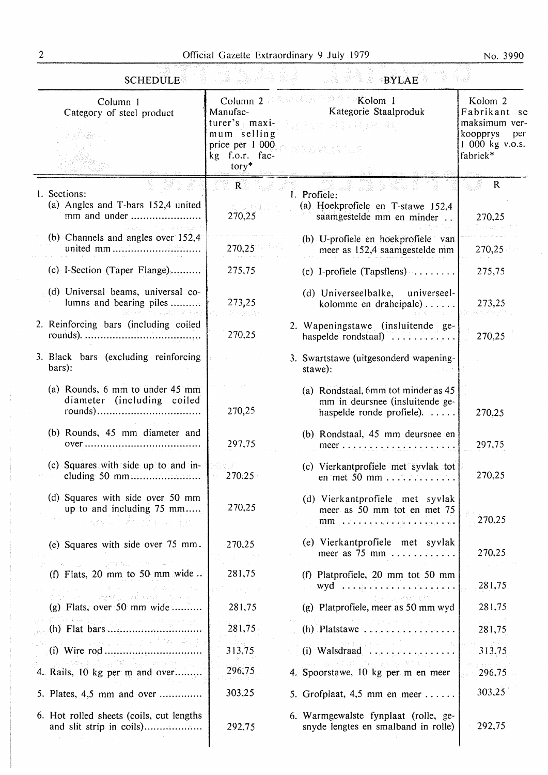No. 3990

| <b>SCHEDULE</b><br><b>BYLAE</b><br>sedi valid                                                         |                                                                                          |                                                                                                                                                                                                                                                                                                         |                                                                                                       |  |  |  |  |
|-------------------------------------------------------------------------------------------------------|------------------------------------------------------------------------------------------|---------------------------------------------------------------------------------------------------------------------------------------------------------------------------------------------------------------------------------------------------------------------------------------------------------|-------------------------------------------------------------------------------------------------------|--|--|--|--|
| Column 1<br>Category of steel product                                                                 | Manufac-<br>turer's maxi-<br>mum selling<br>price per 1 000<br>kg f.o.r. fac-<br>$tory*$ | Column 2 2 A model in the Second 1<br>Kategorie Staalproduk<br>Defense et 3 o Goerald<br>VROWATILE<br>and the state of the second con-                                                                                                                                                                  | Kolom <sub>2</sub><br>Fabrikant se<br>maksimum ver-<br>koopprys<br>per<br>1 000 kg v.o.s.<br>fabriek* |  |  |  |  |
| 1. Sections:<br>(a) Angles and T-bars 152,4 united<br>mm and under<br>Space of the Police and Care of | $\mathbf{R}$ . The set of $\mathbf{R}$<br>270,25                                         | 1. Profiele: $\overline{\phantom{a}}$<br>(a) Hoekprofiele en T-stawe 152,4<br>saamgestelde mm en minder                                                                                                                                                                                                 | $\mathbf R$<br>270,25                                                                                 |  |  |  |  |
| (b) Channels and angles over 152,4                                                                    | 270,25                                                                                   | (b) U-profiele en hoekprofiele van<br>meer as 152,4 saamgestelde mm                                                                                                                                                                                                                                     | 270,25                                                                                                |  |  |  |  |
| (c) I-Section (Taper Flange)                                                                          | 275,75                                                                                   | (c) I-profiele (Tapsflens) $\ldots \ldots$                                                                                                                                                                                                                                                              | 275,75                                                                                                |  |  |  |  |
| (d) Universal beams, universal co-<br>lumns and bearing piles<br>그 공장 가게 바탕 공대적인 기관 관광                | 273,25<br>터프 호텔 전설                                                                       | (d) Universeelbalke, universeel-<br>kolomme en draheipale)                                                                                                                                                                                                                                              | 273,25                                                                                                |  |  |  |  |
| 2. Reinforcing bars (including coiled                                                                 | 270,25                                                                                   | 2. Wapeningstawe (insluitende ge-<br>haspelde rondstaal)                                                                                                                                                                                                                                                | 270,25                                                                                                |  |  |  |  |
| 3. Black bars (excluding reinforcing)<br>bars):                                                       |                                                                                          | 3. Swartstawe (uitgesonderd wapening-<br>stawe):                                                                                                                                                                                                                                                        |                                                                                                       |  |  |  |  |
| (a) Rounds, 6 mm to under 45 mm<br>diameter (including coiled                                         | 270,25                                                                                   | (a) Rondstaal, 6mm tot minder as 45<br>mm in deursnee (insluitende ge-<br>haspelde ronde profiele).                                                                                                                                                                                                     | 270,25                                                                                                |  |  |  |  |
| (b) Rounds, 45 mm diameter and                                                                        | 297,75                                                                                   | (b) Rondstaal, 45 mm deursnee en                                                                                                                                                                                                                                                                        | 297,75                                                                                                |  |  |  |  |
| (c) Squares with side up to and in-<br>cluding 50 mm                                                  | 270,25                                                                                   | (c) Vierkantprofiele met syvlak tot<br>en met 50 mm $\dots \dots$                                                                                                                                                                                                                                       | 270,25                                                                                                |  |  |  |  |
| (d) Squares with side over 50 mm<br>up to and including 75 mm<br>우 일상 4만 평안/30만 다 - 발표:               | 270,25                                                                                   | (d) Vierkantprofiele met syvlak<br>meer as 50 mm tot en met 75<br>$mm \rightarrow$ or an experiment of the space of                                                                                                                                                                                     | 270,25                                                                                                |  |  |  |  |
| (e) Squares with side over 75 mm.<br>动物 化加油设备 医全身骨盆切除术 医阴道性                                           | 270,25                                                                                   | (e) Vierkantprofiele met syvlak<br>meer as $75$ mm                                                                                                                                                                                                                                                      | 270,25                                                                                                |  |  |  |  |
| (f) Flats, 20 mm to 50 mm wide                                                                        | 281,75                                                                                   | (f) Platprofiele, 20 mm tot 50 mm                                                                                                                                                                                                                                                                       | 281,75                                                                                                |  |  |  |  |
| of the common states of the second common<br>(g) Flats, over 50 mm wide                               | 281,75                                                                                   | The part of Greek pilet<br>(g) Platprofiele, meer as 50 mm wyd                                                                                                                                                                                                                                          | 281,75                                                                                                |  |  |  |  |
| di Petat dan sebagai sebagai kecamat                                                                  | 281,75                                                                                   | aler Company and the<br>$(h)$ Platstawe                                                                                                                                                                                                                                                                 | 281,75                                                                                                |  |  |  |  |
|                                                                                                       | 313,75                                                                                   | $\label{eq:2} \mathcal{A}_{\mathcal{A}}(\mathcal{A}) = \mathcal{A}_{\mathcal{A}}(\mathcal{A}) = \mathcal{A}_{\mathcal{A}}(\mathcal{A}) = \mathcal{A}_{\mathcal{A}}(\mathcal{A}) = \mathcal{A}_{\mathcal{A}}(\mathcal{A}) = \mathcal{A}_{\mathcal{A}}(\mathcal{A})$<br>(i) Walsdraad $\ldots$ , $\ldots$ | 313,75                                                                                                |  |  |  |  |
| أنطاعاهم بالأبلاء فلاقتها فليجوزه والإس<br>4. Rails, 10 kg per m and over                             | 296,75                                                                                   | 2010年1月20日1月1日 1月20日1日 1月1日 1月1日<br>4. Spoorstawe, 10 kg per m en meer                                                                                                                                                                                                                                  | 296,75                                                                                                |  |  |  |  |
| 5. Plates, 4,5 mm and over                                                                            | 303,25                                                                                   | 5. Grofplaat, $4,5$ mm en meer                                                                                                                                                                                                                                                                          | 303,25                                                                                                |  |  |  |  |
| 6. Hot rolled sheets (coils, cut lengths<br>and slit strip in coils)                                  | 292,75                                                                                   | 6. Warmgewalste fynplaat (rolle, ge-<br>snyde lengtes en smalband in rolle).                                                                                                                                                                                                                            | 292,75                                                                                                |  |  |  |  |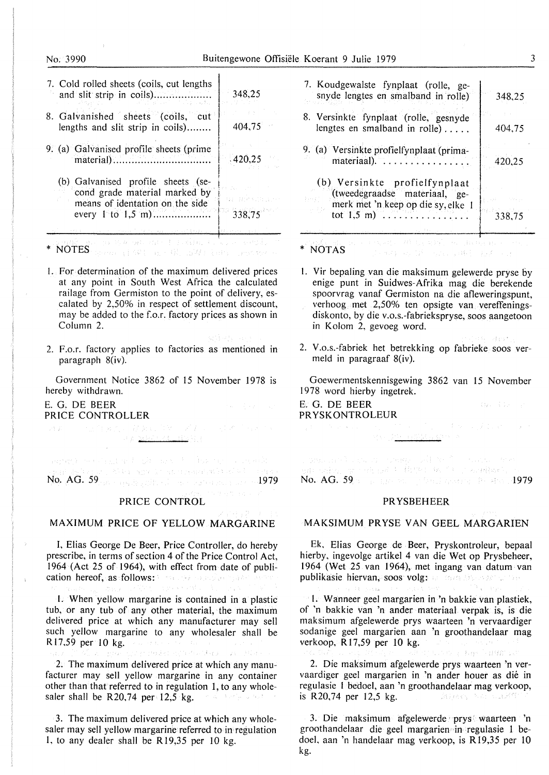### No; 3990 Buitengewone Offisiele Koerant 9 Julie 1979 3

| 7. Cold rolled sheets (coils, cut lengths<br>and slit strip in coils)                                                           | 348,25                   |
|---------------------------------------------------------------------------------------------------------------------------------|--------------------------|
| 8. Galvanished sheets (coils, cut<br>lengths and slit strip in coils)                                                           | 404,75                   |
| 9. (a) Galvanised profile sheets (prime                                                                                         | 420.25                   |
| (b) Galvanised profile sheets (se-<br>cond grade material marked by<br>means of identation on the side<br>every $1$ to $1,5$ m) | roch (relevant<br>338,75 |
| おんじん ケールにしたい プログラムけんしょうしゅう<br>egy advisor a közöt vákbol advisorského                                                           |                          |

- I. For determination of the maximum delivered prices at any point in South West Africa the calculated railage from Germiston to the point of delivery, escalated by 2,50% in respect of settlement discount, may be added to the f.o.r. factory prices as shown in Column 2.
- 2. F.o.r. factory applies to factories as mentioned in paragraph 8(iv).

Government Notice 3862 of 15 November 1978 is hereby withdrawn.

# E.G. DE BEER **PRICE CONTROLLER**<br>Early Contract Model Data Contract of the Contract of Section 2014

网络野红 网络金属 电无光线 网络黑色 重新 电压力 医神经 No. AG. 59 <sub>1979</sub> - Andre State Communication of the United States

**PARKETT SERVICE** 

#### PRICE CONTROL

### MAXIMUM PRICE OF YELLOW MARGARINE

I, Elias George De Beer, Price Controller, do hereby prescribe, in terms of section 4 of the Price Control Act, 1964 (Act 25 of 1964), with effect from date of publication hereof, as follows: a consideration of the constant

1. When yellow margarine is contained in a plastic tub, or any tub of any other material, the maximum delivered price at which any manufacturer may sell such yellow margarine to any wholesaler shall be R17,59 per 10 kg. And the same of the

POLET REPORT OF A STATE

2. The maximum delivered price at which any manufacturer may sell yellow margarine in any container other than that referred to in regulation 1, to any wholesaler shall be  $R20,74$  per 12,5 kg. 化偏心系统 机混合机构

3. The maximum delivered price at which any wholesaler may sell yellow margarine referred to in regulation I, to any dealer shall be R 19,35 per IO kg.

| 7. Koudgewalste fynplaat (rolle, ge-<br>snyde lengtes en smalband in rolle)                                                        | 348,25 |
|------------------------------------------------------------------------------------------------------------------------------------|--------|
| 8. Versinkte fynplaat (rolle, gesnyde<br>lengtes en smalband in rolle)                                                             | 404,75 |
| 9. (a) Versinkte profielfynplaat (prima-<br>materiaal).                                                                            | 420,25 |
| (b) Versinkte profielfynplaat<br>(tweedegraadse materiaal, ge-<br>merk met 'n keep op die sy, elke 1<br>tot $1.5$ m)<br>. <b>.</b> | 338,75 |
| (74) 电空阴镜 (1920) 100 1930 电。<br>医特里克氏球 网络公司排队                                                                                      |        |

- I. Vir bepaling van die maksimum gelewerde pryse by enige punt in Suidwes-Afrika mag die berekende spoorvrag vanaf Germiston na die afleweringspunt, verhoog met 2,50% ten opsigte van vereffeningsdiskonto, by die v.o.s.-fabriekspryse, soos aangetoon in Kolom 2, gevoeg word.
- 2. V.o.s.-fabriek het betrekking op fabrieke soos vermeld in paragraaf 8(iv).

Constance Parath

Goewermentskennisgewing 3862 van 15 November 1978 word hierby ingetrek.

E.G. DE BEER PR YSKONTROLEUR

and and calculations of the Company and 在《西南人》面言: 西方的是《白鹤》 医不全 计方向控制程序 No. AG. 59 1979 ERS 2019 12:30 AM 2019 12:31:49 1979

#### PRYSBEHEER

MAKSIMUM PRYSE VAN GEEL MARGARIEN

Ek. Elias George de Beer, Pryskontroleur, bepaal hierby, ingevolge artikel 4 van die Wet op Prysbeheer, 1964 (Wet 25 van 1964), met ingang van datum van publikasie hiervan, soos volg: a maan the soon and

l. Wanneer gee! margarien in 'n bakkie van plastiek, of 'n bakkie van 'n ander materiaal verpak is, is die maksimum afgelewerde prys waarteen 'n vervaardiger sodanige geel margarien aan 'n groothandelaar mag verkoop, **R** 17,59 per IO kg. the Company is HARTLE

2. Die maksimum afgelewerde prys waarteen 'n vervaardiger gee! margarien in 'n ander houer as die in regulasie I bedoel, aan 'n groothandelaar mag verkoop, is R20,74 per 12,5 kg.

3. Die maksimum afgelewerde prys waarteen 'n groothandelaar die gee! margarien in regulasie I bedoel, aan 'n handelaar mag verkoop, is **R** 19,35 per IO kg.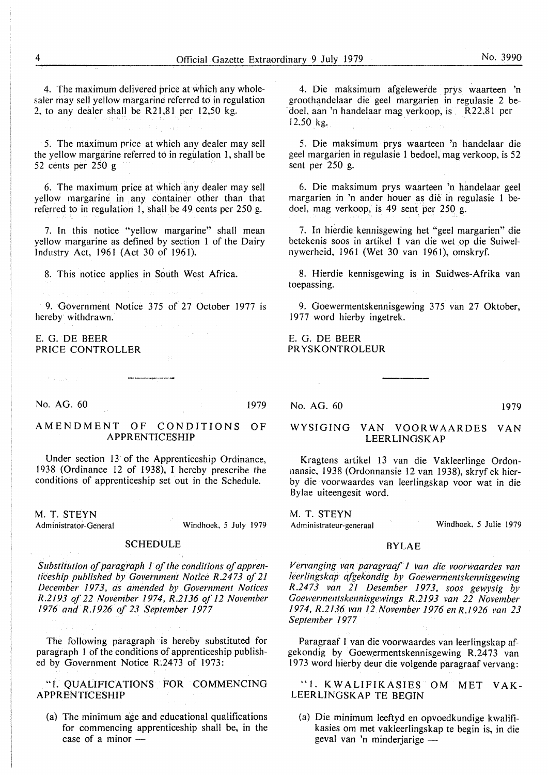4. The maximum delivered price at which any wholesaler may sell yellow margarine referred to in regulation 2, to any dealer shall be  $R21,81$  per 12,50 kg.

· 5. The maximum price at which any dealer may sell the yellow margarine referred to in regulation 1, shall be 52 cents per 250 g

6. The maximum price at which any dealer may sell yellow margarine in any container other than that referred to in regulation I, shall be 49 cents per 250 g.

7. In this notice "yellow margarine" shall mean yellow margarine as defined by section l of the Dairy Industry Act, 1961 (Act 30 of 1961).

8. This notice applies in South West Africa.

9. Government Notice 375 of 27 October 1977 is hereby withdrawn.

#### E.G. DE BEER PRICE CONTROLLER

No. AG. 60 1979

Sun Francisco (2)

#### AMENDMENT OF CONDITIONS OF **APPRENTICESHIP**

Under section 13 of the Apprenticeship Ordinance, 1938 (Ordinance 12 of 1938), I hereby prescribe the conditions of apprenticeship set out in the Schedule.

M. T. **STEYN**  Administrator-General

Windhoek, 5 July 1979

### **SCHEDULE**

*Substitution of paragraph 1 of the conditions of apprenticeship published by Government Notice R.2473 of 21 December /973, as amended by Government Notices R.2193 of 22 November 1974, R.2136 of 12 November 1976 and R.1926 of 23 September 1977* 

The following paragraph is hereby substituted for paragraph 1 of the conditions of apprenticeship published by Government Notice R.2473 of 1973:

"1. QUALIFICATIONS FOR COMMENCING **APPRENTICESHIP** 

(a) The minimum age and educational qualifications for commencing apprenticeship shall be, in the case of a minor  $-$ 

4. Die maksimum afgelewerde prys waarteen 'n groothandelaar die gee) margarien in regulasie 2 be doel, aan 'n handelaar mag verkoop, is . R22,81 per 12,50 kg.

5. Die maksimum prys waarteen 'n handelaar die geel margarien in regulasie I bedoel, mag verkoop, is 52 sent per 250 g.

6. Die maksimum prys waarteen 'n handelaar geel margarien in 'n ander houer as die in regulasie 1 bedoel, mag verkoop, is 49 sent per 250 g.

7. In hierdie kennisgewing het "geel margarien" die betekenis soos in artikel 1 van die wet op die Suiwelnywerheid, 1961 (Wet 30 van 1961), omskryf.

8. Hierdie kennisgewing is in Suidwes-Afrika van toepassing.

9. Goewermentskennisgewing 375 van 27 Oktober, 1977 word hierby ingetrek.

E.G. DE BEER PR YSKONTROLEUR

No. AG. 60 1979

Windhoek, 5 Julie 1979

#### **WYSIGING VAN VOOR WAARDES VAN LEERLINGSKAP**

Kragtens artikel 13 van die Vakleerlinge Ordonnansie, 1938 (Ordonnansie 12 van 1938), skryf ek hierby die voorwaardes van leerlingskap voor wat in die Bylae uiteengesit word.

M. T. **STEYN** 

Administrateur-generaal

#### **BYLAE**

*Ven1 anging van paragraqf 1 van die voorwaardes van leerlingskap afgekondig by Goewermentskennisgewing R.2473 van 21 Desember 1973, soos gewysig by Goewermentskennisgewings R.2193 van 22 November 1974, R.2136 van 12 November 1976 enR./926 !'an 23 September 1977* 

Paragraaf I van die voorwaardes van leerlingskap afgekondig by Goewermentskennisgewing R.24 73 van 1973 word hierby deur die volgende paragraaf vervang:

"I. KW ALIFIKASIES OM MET V AK-LEERLINGSKAP TE BEGIN

(a) Die minimum leeftyd en opvoedkundige kwalifikasies om met vakleerlingskap te begin is, in die geval van 'n minderjarige -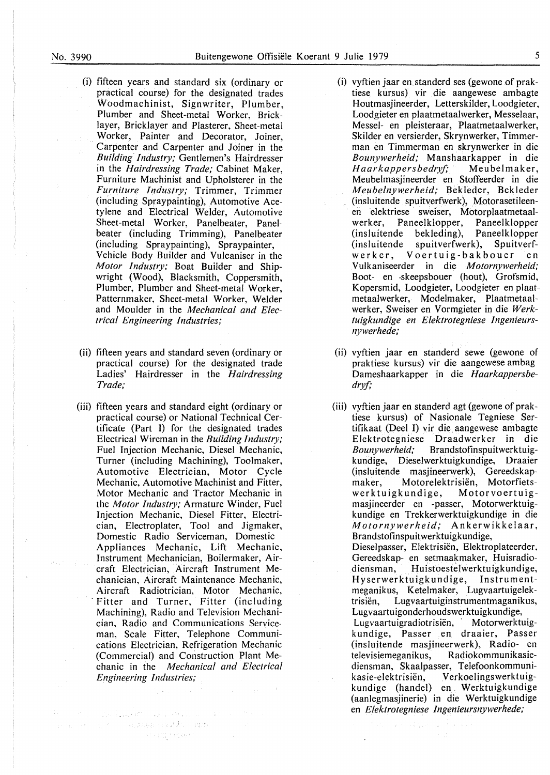- (i) fifteen years and standard six ( ordinary or practical course) for the designated trades Woodmachinist, Signwriter, Plumber, Plumber and Sheet-metal Worker, Bricklayer, Bricklayer and Plasterer, Sheet-metal Worker, Painter and Decorator, Joiner, Carpenter and Carpenter and Joiner in the *Buildini Industry;* Gentlemen's Hairdresser in the *Hairdressing Trade;* Cabinet Maker, Furniture Machinist and Upholsterer in the *Furniture Industry;* Trimmer, Trimmer (including Spraypainting), Automotive Acetylene and Electrical Welder, Automotive Sheet-metal Worker, Panelbeater, Panelbeater (including Trimming), Panelbeater (including Spraypainting), Spraypainter, Vehicle Body Builder and Vulcaniser in the *Motor Industry;* Boat Builder and Shipwright (Wood), Blacksmith, Coppersmith, Plumber, Plumber and Sheet-metal Worker, Patternmaker, Sheet-metal Worker, Welder and Moulder in the *Mechanical and Electrical Engineering Industries;*
- (ii) fifteen years and standard seven (ordinary or practical course) for the designated trade Ladies' Hairdresser in the *Hairdressing Trade;*
- (iii) fifteen years and standard eight (ordinary or practical course) or National Technical Certificate (Part I) for the designated trades Electrical Wireman in the *Building Industry;*  Fuel Injection Mechanic, Diesel Mechanic, Turner (including Machining), Toolmaker, Automotive Electrician, Motor Cycle Mechanic, Automotive Machinist and Fitter, Motor Mechanic and Tractor Mechanic in the *Motor Industry;* Armature Winder, Fuel Injection Mechanic, Diesel Fitter, Electrician, Electroplater, Tool and Jigmaker, Domestic Radio Serviceman, Domestic Appliances Mechanic, Lift Mechanic, Instrument Mechanician, Boilermaker, Aircraft Electrician, Aircraft Instrument Mechanician, Aircraft Maintenance Mechanic, Aircraft Radiotrician, Motor Mechanic, Fitter and Turner, Fitter (including Machining), Radio and Television Mechanician, Radio and Communications Serviceman, Scale Fitter, Telephone Communications Electrician, Refrigeration Mechanic (Commercial) and Construction Plant Mechanic in the *Mechanical and Electrical Engineering Industries;*

The first the company of the same of the same

SE (17) 19 (63)

provide the government and account of

- (i) vyftien jaar en standerd ses (gewone of praktiese kursus) vir die aangewese ambagte Houtmasjineerder, Letterskilder, Loodgieter, Loodgieter en plaatmetaalwerker, Messelaar, Messel- en pleisteraar, Plaatmetaalwerker, Skilder en versierder, Skrynwerker, Timmerman en Timmerman en skrynwerker in die *Bounywerheid;* Manshaarkapper in die *Haarkappersbedryf;* Meubelmaker, Meubelmasjineerder en Stoffeerder in die *Meubelnywerheid;* Bekleder, Bekleder (insluitende spuitverfwerk), Motorasetileenen elektriese sweiser, Motorplaatmetaalwerker, Paneelklopper, Paneelklopper (insluitende bekleding), Paneelklopper<br>(insluitende spuitverfwerk), Spuitverfspuitverfwerk), Spuitverfw erk er, Voertuig-bakbouer en Vulkaniseerder in die *Motornywerheid;*  Boot- en -skeepsbouer (hout), Grofsmid, Kopersmid, Loodgieter, Loodgieter en plaatmetaalwerker, Modelmaker, Plaatmetaalwerker, Sweiser en Vormgieter in die *Werktuigkundige en Elektrotegniese Ingenieursnywerhede;*
- (ii) vyftien jaar en standerd sewe (gewone of praktiese kursus) vir die aangewese ambag Dameshaarkapper in die *Haarkappersbedryf;*
- (iii) vyftien jaar en standerd agt (gewone of praktiese kursus) of Nasionale Tegniese Sertifikaat (Deel I) vir die. aangewese ambagte Elektrotegniese Draadwerker in die *Bounywerheid;* Brandstofinspuitwerktuigkundige, Dieselwerktuigkundige, Draaier (insluitende masjineerwerk), Gereedskapmaker, Motorelektrisiën, Motorfietswerktuigkundige, Motorvoertuigmasjineerder en -passer, Motorwerktuigkundige en Trekkerwerktuigkundige in die *Motornywerheid;* Ankerwikkelaar, Brandstofinspuitwerktuigkundige, Dieselpasser, Elektrisiën, Elektroplateerder, Gereedskap- en setmaakmaker, Huisradiodiensman, Huistoestelwerktuigkundige, Hyserwerktuigkundige, Instrumentmeganikus, Ketelmaker, Lugvaartuigelektrisien, Lugvaartuiginstrumentmaganikus, Lugvaartuigonderhoudswerktuigkundige, Lugvaartuigradiotrisiën, Motorwerktuigk undige, Passer en draaier, Passer (insluitende masjineerwerk), Radio- en televisiemeganikus, Radiokommunikasiediensman, Skaalpasser, Telefoonkommunikasie-elektrisiën, Verkoelingswerktuigkundige (handel) en Werktuigkundige (aanlegmasjinerie) in die Werktuigkundige en *Elektrotegniese lngenieursnywerhede;*